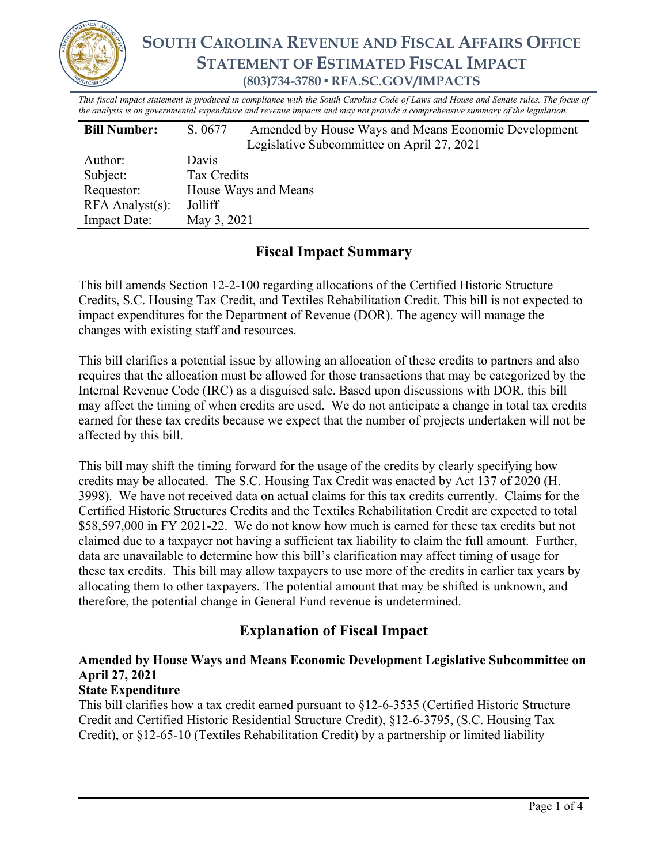

*This fiscal impact statement is produced in compliance with the South Carolina Code of Laws and House and Senate rules. The focus of the analysis is on governmental expenditure and revenue impacts and may not provide a comprehensive summary of the legislation.*

| <b>Bill Number:</b>   | S. 0677              | Amended by House Ways and Means Economic Development |  |
|-----------------------|----------------------|------------------------------------------------------|--|
|                       |                      | Legislative Subcommittee on April 27, 2021           |  |
| Author:               | Davis                |                                                      |  |
| Subject:              | Tax Credits          |                                                      |  |
| Requestor:            | House Ways and Means |                                                      |  |
| $RFA$ Analyst $(s)$ : | Jolliff              |                                                      |  |
| <b>Impact Date:</b>   | May 3, 2021          |                                                      |  |

# **Fiscal Impact Summary**

This bill amends Section 12-2-100 regarding allocations of the Certified Historic Structure Credits, S.C. Housing Tax Credit, and Textiles Rehabilitation Credit. This bill is not expected to impact expenditures for the Department of Revenue (DOR). The agency will manage the changes with existing staff and resources.

This bill clarifies a potential issue by allowing an allocation of these credits to partners and also requires that the allocation must be allowed for those transactions that may be categorized by the Internal Revenue Code (IRC) as a disguised sale. Based upon discussions with DOR, this bill may affect the timing of when credits are used. We do not anticipate a change in total tax credits earned for these tax credits because we expect that the number of projects undertaken will not be affected by this bill.

This bill may shift the timing forward for the usage of the credits by clearly specifying how credits may be allocated. The S.C. Housing Tax Credit was enacted by Act 137 of 2020 (H. 3998). We have not received data on actual claims for this tax credits currently. Claims for the Certified Historic Structures Credits and the Textiles Rehabilitation Credit are expected to total \$58,597,000 in FY 2021-22. We do not know how much is earned for these tax credits but not claimed due to a taxpayer not having a sufficient tax liability to claim the full amount. Further, data are unavailable to determine how this bill's clarification may affect timing of usage for these tax credits. This bill may allow taxpayers to use more of the credits in earlier tax years by allocating them to other taxpayers. The potential amount that may be shifted is unknown, and therefore, the potential change in General Fund revenue is undetermined.

# **Explanation of Fiscal Impact**

## **Amended by House Ways and Means Economic Development Legislative Subcommittee on April 27, 2021**

### **State Expenditure**

This bill clarifies how a tax credit earned pursuant to §12-6-3535 (Certified Historic Structure Credit and Certified Historic Residential Structure Credit), §12-6-3795, (S.C. Housing Tax Credit), or §12-65-10 (Textiles Rehabilitation Credit) by a partnership or limited liability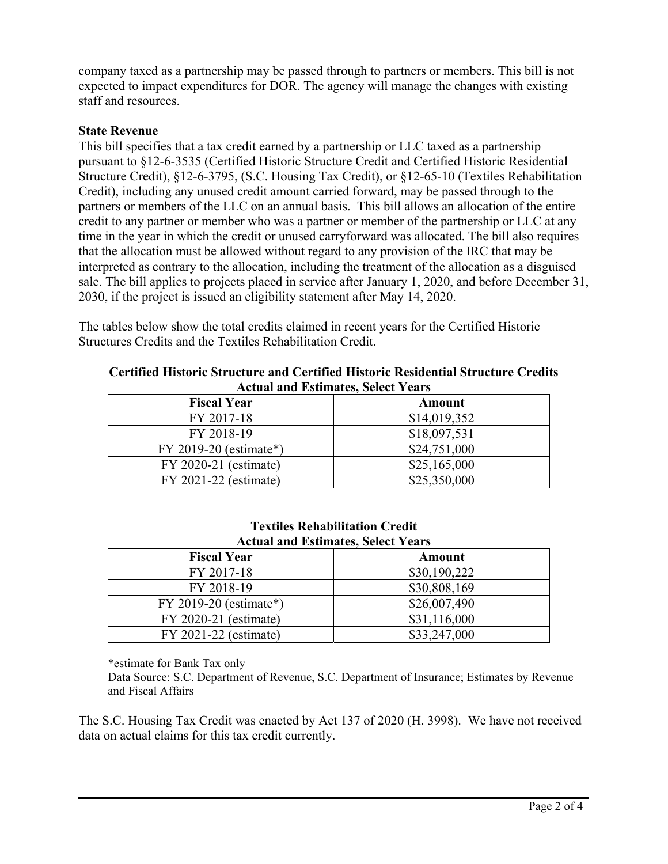company taxed as a partnership may be passed through to partners or members. This bill is not expected to impact expenditures for DOR. The agency will manage the changes with existing staff and resources.

#### **State Revenue**

This bill specifies that a tax credit earned by a partnership or LLC taxed as a partnership pursuant to §12-6-3535 (Certified Historic Structure Credit and Certified Historic Residential Structure Credit), §12-6-3795, (S.C. Housing Tax Credit), or §12-65-10 (Textiles Rehabilitation Credit), including any unused credit amount carried forward, may be passed through to the partners or members of the LLC on an annual basis. This bill allows an allocation of the entire credit to any partner or member who was a partner or member of the partnership or LLC at any time in the year in which the credit or unused carryforward was allocated. The bill also requires that the allocation must be allowed without regard to any provision of the IRC that may be interpreted as contrary to the allocation, including the treatment of the allocation as a disguised sale. The bill applies to projects placed in service after January 1, 2020, and before December 31, 2030, if the project is issued an eligibility statement after May 14, 2020.

The tables below show the total credits claimed in recent years for the Certified Historic Structures Credits and the Textiles Rehabilitation Credit.

| Tream must point the own three I can b |              |  |  |
|----------------------------------------|--------------|--|--|
| <b>Fiscal Year</b>                     | Amount       |  |  |
| FY 2017-18                             | \$14,019,352 |  |  |
| FY 2018-19                             | \$18,097,531 |  |  |
| FY 2019-20 (estimate*)                 | \$24,751,000 |  |  |
| FY 2020-21 (estimate)                  | \$25,165,000 |  |  |
| FY 2021-22 (estimate)                  | \$25,350,000 |  |  |

**Certified Historic Structure and Certified Historic Residential Structure Credits Actual and Estimates, Select Years** 

| <b>Textiles Rehabilitation Credit</b>     |  |  |  |  |
|-------------------------------------------|--|--|--|--|
| <b>Actual and Estimates, Select Years</b> |  |  |  |  |

| <b>Fiscal Year</b>       | Amount       |  |  |
|--------------------------|--------------|--|--|
| FY 2017-18               | \$30,190,222 |  |  |
| FY 2018-19               | \$30,808,169 |  |  |
| $FY$ 2019-20 (estimate*) | \$26,007,490 |  |  |
| FY 2020-21 (estimate)    | \$31,116,000 |  |  |
| FY 2021-22 (estimate)    | \$33,247,000 |  |  |

\*estimate for Bank Tax only

Data Source: S.C. Department of Revenue, S.C. Department of Insurance; Estimates by Revenue and Fiscal Affairs

The S.C. Housing Tax Credit was enacted by Act 137 of 2020 (H. 3998). We have not received data on actual claims for this tax credit currently.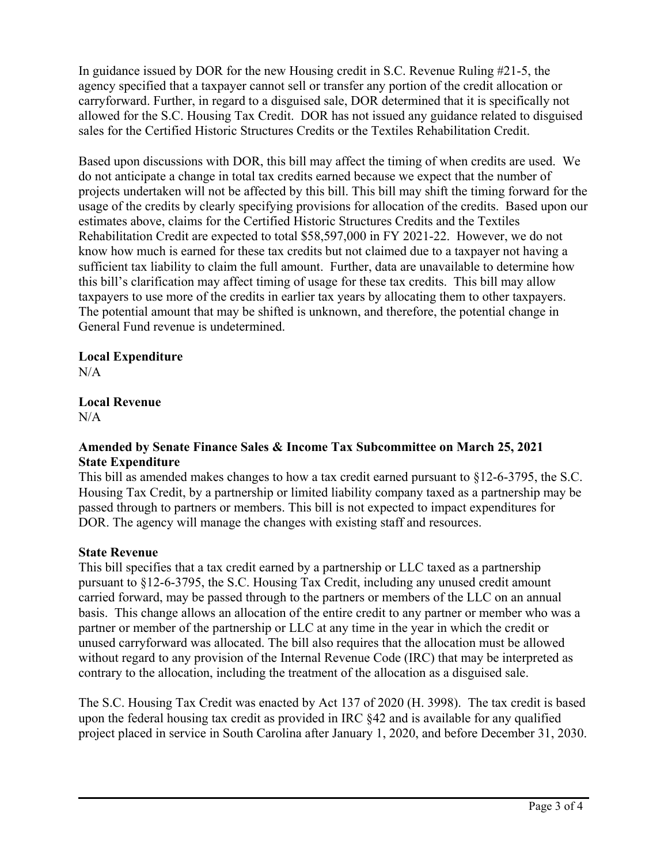In guidance issued by DOR for the new Housing credit in S.C. Revenue Ruling #21-5, the agency specified that a taxpayer cannot sell or transfer any portion of the credit allocation or carryforward. Further, in regard to a disguised sale, DOR determined that it is specifically not allowed for the S.C. Housing Tax Credit. DOR has not issued any guidance related to disguised sales for the Certified Historic Structures Credits or the Textiles Rehabilitation Credit.

Based upon discussions with DOR, this bill may affect the timing of when credits are used. We do not anticipate a change in total tax credits earned because we expect that the number of projects undertaken will not be affected by this bill. This bill may shift the timing forward for the usage of the credits by clearly specifying provisions for allocation of the credits. Based upon our estimates above, claims for the Certified Historic Structures Credits and the Textiles Rehabilitation Credit are expected to total \$58,597,000 in FY 2021-22. However, we do not know how much is earned for these tax credits but not claimed due to a taxpayer not having a sufficient tax liability to claim the full amount. Further, data are unavailable to determine how this bill's clarification may affect timing of usage for these tax credits. This bill may allow taxpayers to use more of the credits in earlier tax years by allocating them to other taxpayers. The potential amount that may be shifted is unknown, and therefore, the potential change in General Fund revenue is undetermined.

### **Local Expenditure**

 $N/A$ 

#### **Local Revenue**   $N/A$

### **Amended by Senate Finance Sales & Income Tax Subcommittee on March 25, 2021 State Expenditure**

This bill as amended makes changes to how a tax credit earned pursuant to §12-6-3795, the S.C. Housing Tax Credit, by a partnership or limited liability company taxed as a partnership may be passed through to partners or members. This bill is not expected to impact expenditures for DOR. The agency will manage the changes with existing staff and resources.

### **State Revenue**

This bill specifies that a tax credit earned by a partnership or LLC taxed as a partnership pursuant to §12-6-3795, the S.C. Housing Tax Credit, including any unused credit amount carried forward, may be passed through to the partners or members of the LLC on an annual basis. This change allows an allocation of the entire credit to any partner or member who was a partner or member of the partnership or LLC at any time in the year in which the credit or unused carryforward was allocated. The bill also requires that the allocation must be allowed without regard to any provision of the Internal Revenue Code (IRC) that may be interpreted as contrary to the allocation, including the treatment of the allocation as a disguised sale.

The S.C. Housing Tax Credit was enacted by Act 137 of 2020 (H. 3998). The tax credit is based upon the federal housing tax credit as provided in IRC §42 and is available for any qualified project placed in service in South Carolina after January 1, 2020, and before December 31, 2030.